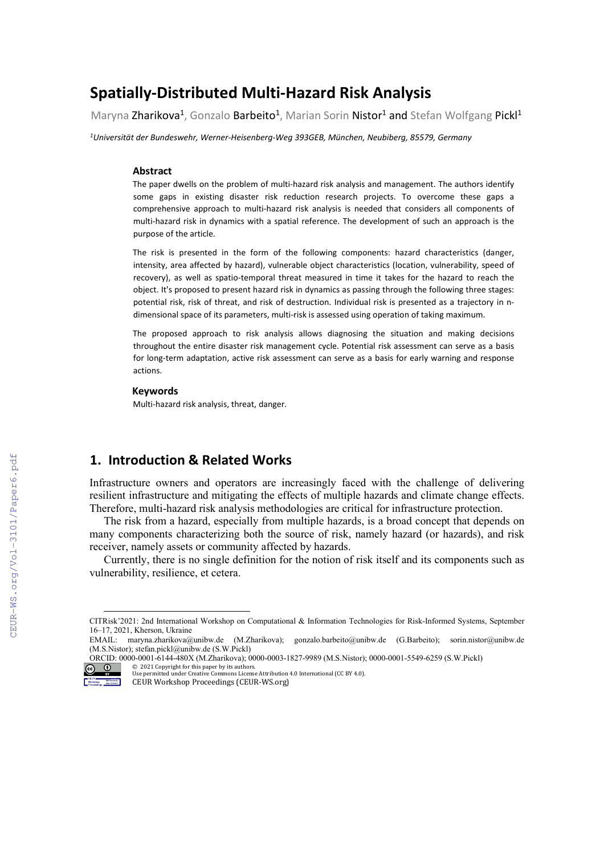## **Spatially-Distributed Multi-Hazard Risk Analysis**

Maryna Zharikova<sup>1</sup>, Gonzalo Barbeito<sup>1</sup>, Marian Sorin Nistor<sup>1</sup> and Stefan Wolfgang Pickl<sup>1</sup>

*1Universität der Bundeswehr, Werner-Heisenberg-Weg 393GEB, München, Neubiberg, 85579, Germany*

#### **Abstract**

The paper dwells on the problem of multi-hazard risk analysis and management. The authors identify some gaps in existing disaster risk reduction research projects. To overcome these gaps a comprehensive approach to multi-hazard risk analysis is needed that considers all components of multi-hazard risk in dynamics with a spatial reference. The development of such an approach is the purpose of the article.

The risk is presented in the form of the following components: hazard characteristics (danger, intensity, area affected by hazard), vulnerable object characteristics (location, vulnerability, speed of recovery), as well as spatio-temporal threat measured in time it takes for the hazard to reach the object. It's proposed to present hazard risk in dynamics as passing through the following three stages: potential risk, risk of threat, and risk of destruction. Individual risk is presented as a trajectory in ndimensional space of its parameters, multi-risk is assessed using operation of taking maximum.

The proposed approach to risk analysis allows diagnosing the situation and making decisions throughout the entire disaster risk management cycle. Potential risk assessment can serve as a basis for long-term adaptation, active risk assessment can serve as a basis for early warning and response actions.

#### **Keywords**

Multi-hazard risk analysis, threat, danger.

## **1. Introduction & Related Works**

Infrastructure owners and operators are increasingly faced with the challenge of delivering resilient infrastructure and mitigating the effects of multiple hazards and climate change effects. Therefore, multi-hazard risk analysis methodologies are critical for infrastructure protection.

The risk from a hazard, especially from multiple hazards, is a broad concept that depends on many components characterizing both the source of risk, namely hazard (or hazards), and risk receiver, namely assets or community affected by hazards.

Currently, there is no single definition for the notion of risk itself and its components such as vulnerability, resilience, et cetera.

© 2021 Copyright for this paper by its authors. Use permitted under Creative Commons License Attribution 4.0 International (CC BY 4.0).



CEUR Workshop Proceedings (CEUR-WS.org)

<span id="page-0-0"></span>CITRisk'2021: 2nd International Workshop on Computational & Information Technologies for Risk-Informed Systems, September 16–17, 2021, Kherson, Ukraine

EMAIL: maryna.zharikova@unibw.de (M.Zharikova); gonzalo.barbeito@unibw.de (G.Barbeito); [sorin.nistor@unibw.de](mailto:sorin.nistor@unibw.de) (M.S.Nistor); stefan.pickl@unibw.de (S.W.Pickl) ORCID: 0000-0001-6144-480X (M.Zharikova); 0000-0003-1827-9989 (M.S.Nistor); 0000-0001-5549-6259 (S.W.Pickl)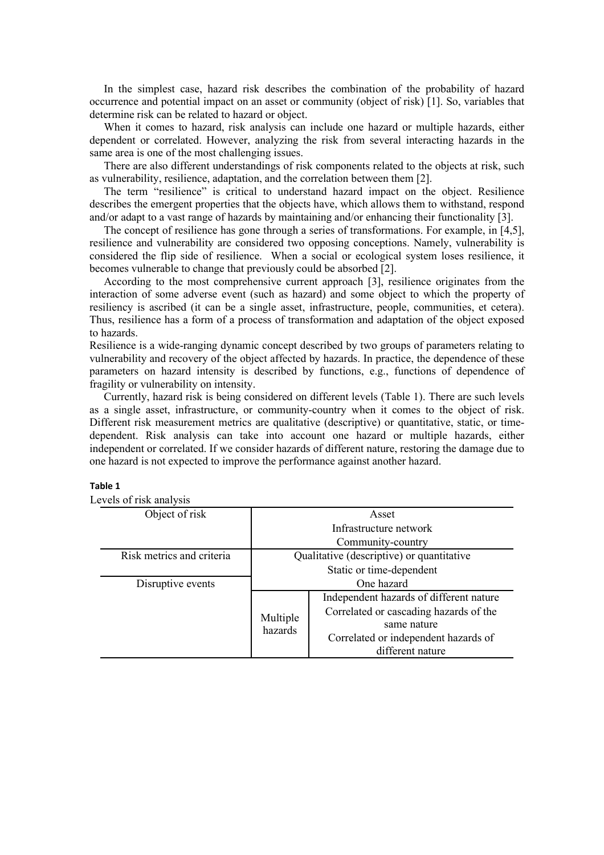In the simplest case, hazard risk describes the combination of the probability of hazard occurrence and potential impact on an asset or community (object of risk) [1]. So, variables that determine risk can be related to hazard or object.

When it comes to hazard, risk analysis can include one hazard or multiple hazards, either dependent or correlated. However, analyzing the risk from several interacting hazards in the same area is one of the most challenging issues.

There are also different understandings of risk components related to the objects at risk, such as vulnerability, resilience, adaptation, and the correlation between them [2].

The term "resilience" is critical to understand hazard impact on the object. Resilience describes the emergent properties that the objects have, which allows them to withstand, respond and/or adapt to a vast range of hazards by maintaining and/or enhancing their functionality [3].

The concept of resilience has gone through a series of transformations. For example, in [4,5], resilience and vulnerability are considered two opposing conceptions. Namely, vulnerability is considered the flip side of resilience. When a social or ecological system loses resilience, it becomes vulnerable to change that previously could be absorbed [2].

According to the most comprehensive current approach [3], resilience originates from the interaction of some adverse event (such as hazard) and some object to which the property of resiliency is ascribed (it can be a single asset, infrastructure, people, communities, et cetera). Thus, resilience has a form of a process of transformation and adaptation of the object exposed to hazards.

Resilience is a wide-ranging dynamic concept described by two groups of parameters relating to vulnerability and recovery of the object affected by hazards. In practice, the dependence of these parameters on hazard intensity is described by functions, e.g., functions of dependence of fragility or vulnerability on intensity.

Currently, hazard risk is being considered on different levels (Table 1). There are such levels as a single asset, infrastructure, or community-country when it comes to the object of risk. Different risk measurement metrics are qualitative (descriptive) or quantitative, static, or timedependent. Risk analysis can take into account one hazard or multiple hazards, either independent or correlated. If we consider hazards of different nature, restoring the damage due to one hazard is not expected to improve the performance against another hazard.

### **Table 1**

Levels of risk analysis

| $\frac{1}{2}$             |                                           |                                         |  |  |
|---------------------------|-------------------------------------------|-----------------------------------------|--|--|
| Object of risk            | Asset                                     |                                         |  |  |
|                           | Infrastructure network                    |                                         |  |  |
|                           | Community-country                         |                                         |  |  |
| Risk metrics and criteria | Qualitative (descriptive) or quantitative |                                         |  |  |
|                           | Static or time-dependent                  |                                         |  |  |
| Disruptive events         | One hazard                                |                                         |  |  |
|                           |                                           | Independent hazards of different nature |  |  |
|                           | Multiple<br>hazards                       | Correlated or cascading hazards of the  |  |  |
|                           |                                           | same nature                             |  |  |
|                           |                                           | Correlated or independent hazards of    |  |  |
|                           |                                           | different nature                        |  |  |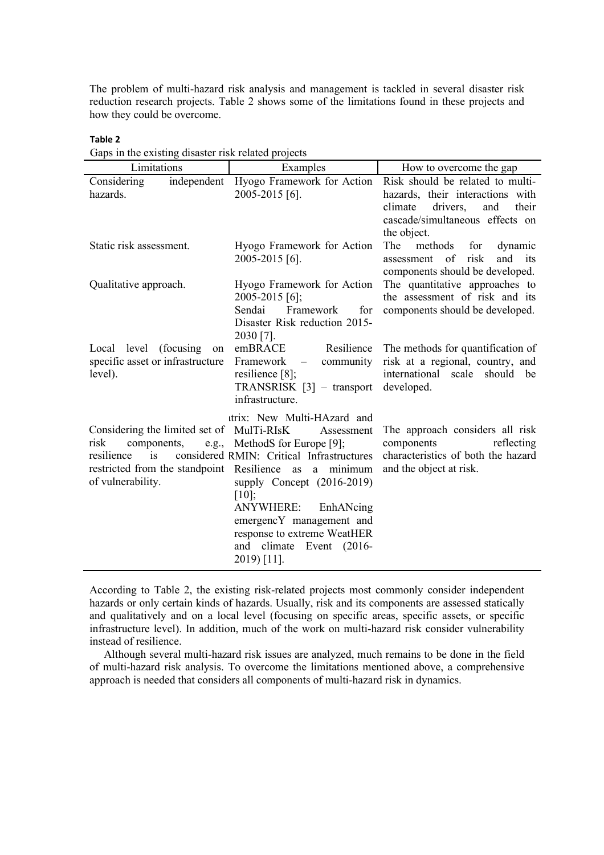The problem of multi-hazard risk analysis and management is tackled in several disaster risk reduction research projects. Table 2 shows some of the limitations found in these projects and how they could be overcome.

# **Table 2**

| Gaps in the existing disaster risk related projects                                                       |                                                                                                                                                                                                                                                                                                                                                                  |                                                                                                                                                               |  |  |
|-----------------------------------------------------------------------------------------------------------|------------------------------------------------------------------------------------------------------------------------------------------------------------------------------------------------------------------------------------------------------------------------------------------------------------------------------------------------------------------|---------------------------------------------------------------------------------------------------------------------------------------------------------------|--|--|
| Limitations<br>Examples                                                                                   |                                                                                                                                                                                                                                                                                                                                                                  | How to overcome the gap                                                                                                                                       |  |  |
| Considering<br>hazards.                                                                                   | independent Hyogo Framework for Action<br>2005-2015 [6].                                                                                                                                                                                                                                                                                                         | Risk should be related to multi-<br>hazards, their interactions with<br>drivers,<br>climate<br>and<br>their<br>cascade/simultaneous effects on<br>the object. |  |  |
| Static risk assessment.                                                                                   | Hyogo Framework for Action<br>2005-2015 [6].                                                                                                                                                                                                                                                                                                                     | The<br>methods<br>for<br>dynamic<br>assessment of<br>risk<br>and its<br>components should be developed.                                                       |  |  |
| Qualitative approach.                                                                                     | Hyogo Framework for Action<br>2005-2015 [6];<br>Sendai<br>Framework<br>for<br>Disaster Risk reduction 2015-<br>2030 [7].                                                                                                                                                                                                                                         | The quantitative approaches to<br>the assessment of risk and its<br>components should be developed.                                                           |  |  |
| Local level (focusing<br>on<br>specific asset or infrastructure<br>level).                                | emBRACE<br>Resilience<br>Framework<br>community<br>$\overline{\phantom{m}}$<br>resilience [8];<br>$TRANSRISK [3] - transport$<br>infrastructure.                                                                                                                                                                                                                 | The methods for quantification of<br>risk at a regional, country, and<br>international scale should be<br>developed.                                          |  |  |
| Considering the limited set of MulTi-RIsK<br>risk<br>components,<br>resilience<br>is<br>of vulnerability. | itrix: New Multi-HAzard and<br>Assessment<br>e.g., MethodS for Europe [9];<br>considered RMIN: Critical Infrastructures<br>restricted from the standpoint Resilience as a minimum<br>supply Concept (2016-2019)<br>[10];<br><b>ANYWHERE:</b><br>EnhANcing<br>emergencY management and<br>response to extreme WeatHER<br>and climate Event (2016-<br>$2019$ [11]. | The approach considers all risk<br>components<br>reflecting<br>characteristics of both the hazard<br>and the object at risk.                                  |  |  |

Gaps in the existing disaster risk related projects

According to Table 2, the existing risk-related projects most commonly consider independent hazards or only certain kinds of hazards. Usually, risk and its components are assessed statically and qualitatively and on a local level (focusing on specific areas, specific assets, or specific infrastructure level). In addition, much of the work on multi-hazard risk consider vulnerability instead of resilience.

Although several multi-hazard risk issues are analyzed, much remains to be done in the field of multi-hazard risk analysis. To overcome the limitations mentioned above, a comprehensive approach is needed that considers all components of multi-hazard risk in dynamics.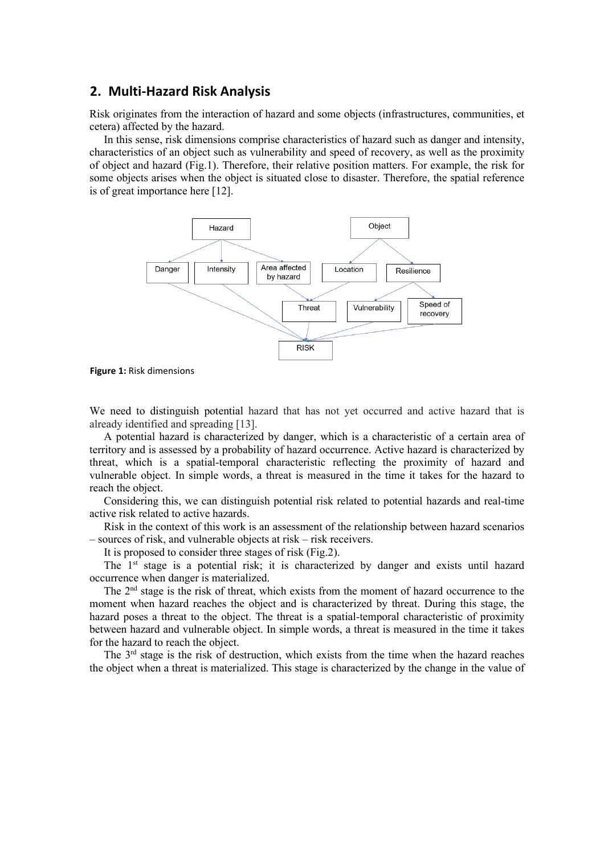## **2. Multi-Hazard Risk Analysis**

Risk originates from the interaction of hazard and some objects (infrastructures, communities, et cetera) affected by the hazard.

In this sense, risk dimensions comprise characteristics of hazard such as danger and intensity, characteristics of an object such as vulnerability and speed of recovery, as well as the proximity of object and hazard (Fig.1). Therefore, their relative position matters. For example, the risk for some objects arises when the object is situated close to disaster. Therefore, the spatial reference is of great importance here [12].



**Figure 1:** Risk dimensions

We need to distinguish potential hazard that has not yet occurred and active hazard that is already identified and spreading [13].

A potential hazard is characterized by danger, which is a characteristic of a certain area of territory and is assessed by a probability of hazard occurrence. Active hazard is characterized by threat, which is a spatial-temporal characteristic reflecting the proximity of hazard and vulnerable object. In simple words, a threat is measured in the time it takes for the hazard to reach the object.

Considering this, we can distinguish potential risk related to potential hazards and real-time active risk related to active hazards.

Risk in the context of this work is an assessment of the relationship between hazard scenarios – sources of risk, and vulnerable objects at risk – risk receivers.

It is proposed to consider three stages of risk (Fig.2).

The  $1<sup>st</sup>$  stage is a potential risk; it is characterized by danger and exists until hazard occurrence when danger is materialized.

The 2nd stage is the risk of threat, which exists from the moment of hazard occurrence to the moment when hazard reaches the object and is characterized by threat. During this stage, the hazard poses a threat to the object. The threat is a spatial-temporal characteristic of proximity between hazard and vulnerable object. In simple words, a threat is measured in the time it takes for the hazard to reach the object.

The  $3<sup>rd</sup>$  stage is the risk of destruction, which exists from the time when the hazard reaches the object when a threat is materialized. This stage is characterized by the change in the value of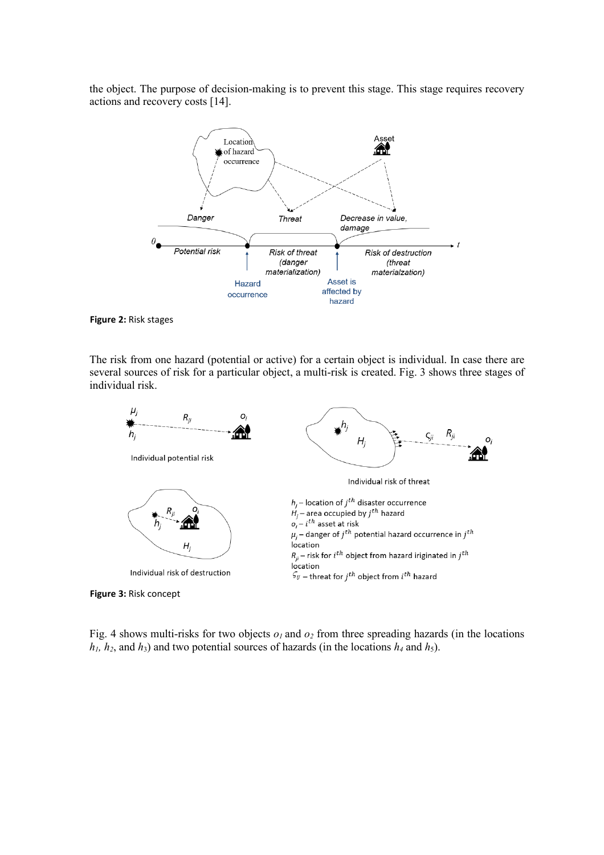the object. The purpose of decision-making is to prevent this stage. This stage requires recovery actions and recovery costs [14].



**Figure 2:** Risk stages

The risk from one hazard (potential or active) for a certain object is individual. In case there are several sources of risk for a particular object, a multi-risk is created. Fig. 3 shows three stages of individual risk.



**Figure 3:** Risk concept

Fig. 4 shows multi-risks for two objects  $o_1$  and  $o_2$  from three spreading hazards (in the locations  $h_1$ ,  $h_2$ , and  $h_3$ ) and two potential sources of hazards (in the locations  $h_4$  and  $h_5$ ).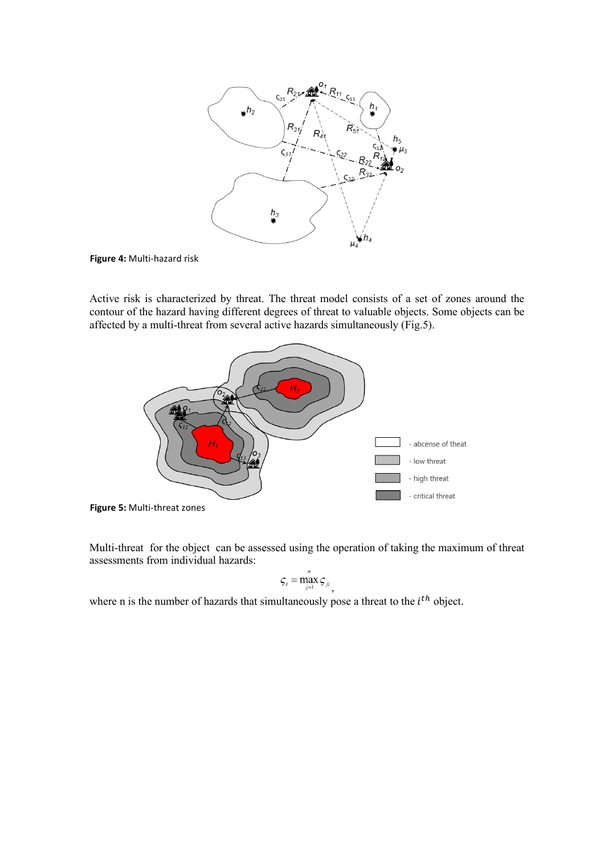

**Figure 4:** Multi-hazard risk

Active risk is characterized by threat. The threat model consists of a set of zones around the contour of the hazard having different degrees of threat to valuable objects. Some objects can be affected by a multi-threat from several active hazards simultaneously (Fig.5).



**Figure 5:** Multi-threat zones

Multi-threat for the object can be assessed using the operation of taking the maximum of threat assessments from individual hazards:  $\overline{v}$ 

$$
\varsigma_i = \max_{j=1}^n \varsigma_{ji},
$$

where n is the number of hazards that simultaneously pose a threat to the  $i^{th}$  object.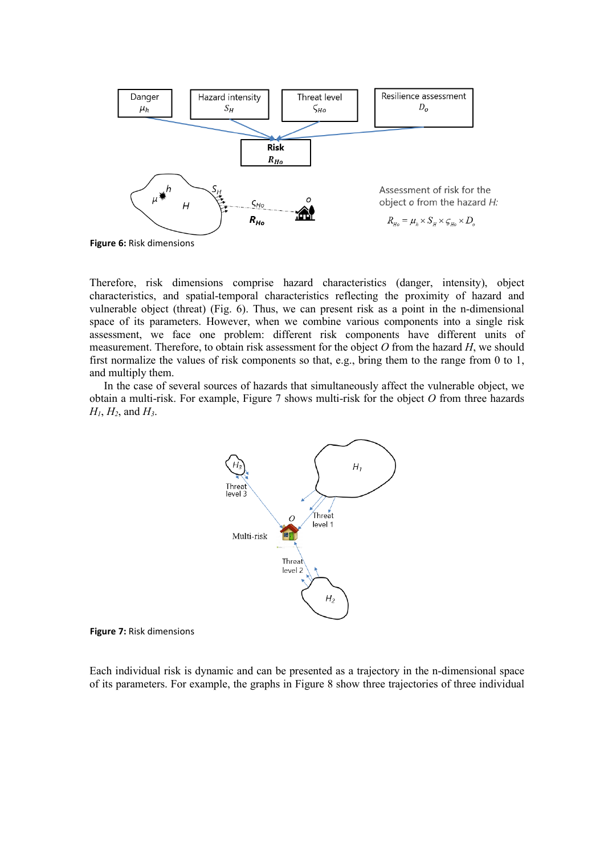

**Figure 6:** Risk dimensions

Therefore, risk dimensions comprise hazard characteristics (danger, intensity), object characteristics, and spatial-temporal characteristics reflecting the proximity of hazard and vulnerable object (threat) (Fig. 6). Thus, we can present risk as a point in the n-dimensional space of its parameters. However, when we combine various components into a single risk assessment, we face one problem: different risk components have different units of measurement. Therefore, to obtain risk assessment for the object *O* from the hazard *H*, we should first normalize the values of risk components so that, e.g., bring them to the range from 0 to 1, and multiply them.

In the case of several sources of hazards that simultaneously affect the vulnerable object, we obtain a multi-risk. For example, Figure 7 shows multi-risk for the object *O* from three hazards *H1*, *H2*, and *H3*.



**Figure 7:** Risk dimensions

Each individual risk is dynamic and can be presented as a trajectory in the n-dimensional space of its parameters. For example, the graphs in Figure 8 show three trajectories of three individual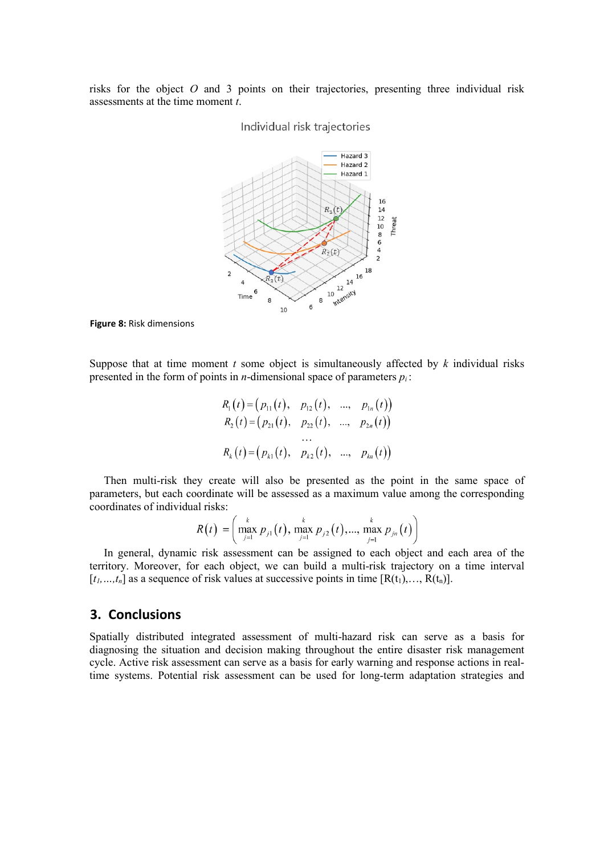risks for the object *O* and 3 points on their trajectories, presenting three individual risk assessments at the time moment *t*.

### Individual risk trajectories



**Figure 8:** Risk dimensions

Suppose that at time moment *t* some object is simultaneously affected by *k* individual risks presented in the form of points in *n*-dimensional space of parameters *pi* :

 $\sim$ 

$$
R_1(t) = (p_{11}(t), p_{12}(t), ..., p_{1n}(t))
$$
  
\n
$$
R_2(t) = (p_{21}(t), p_{22}(t), ..., p_{2n}(t))
$$
  
\n
$$
\dots
$$
  
\n
$$
R_k(t) = (p_{k1}(t), p_{k2}(t), ..., p_{kn}(t))
$$

Then multi-risk they create will also be presented as the point in the same space of parameters, but each coordinate will be assessed as a maximum value among the corresponding coordinates of individual risks:

$$
R(t) = \left(\max_{j=1}^{k} p_{j1}(t), \max_{j=1}^{k} p_{j2}(t), ..., \max_{j=1}^{k} p_{jn}(t)\right)
$$

In general, dynamic risk assessment can be assigned to each object and each area of the territory. Moreover, for each object, we can build a multi-risk trajectory on a time interval  $[t_1, \ldots, t_n]$  as a sequence of risk values at successive points in time  $[R(t_1), \ldots, R(t_n)].$ 

### **3. Conclusions**

Spatially distributed integrated assessment of multi-hazard risk can serve as a basis for diagnosing the situation and decision making throughout the entire disaster risk management cycle. Active risk assessment can serve as a basis for early warning and response actions in realtime systems. Potential risk assessment can be used for long-term adaptation strategies and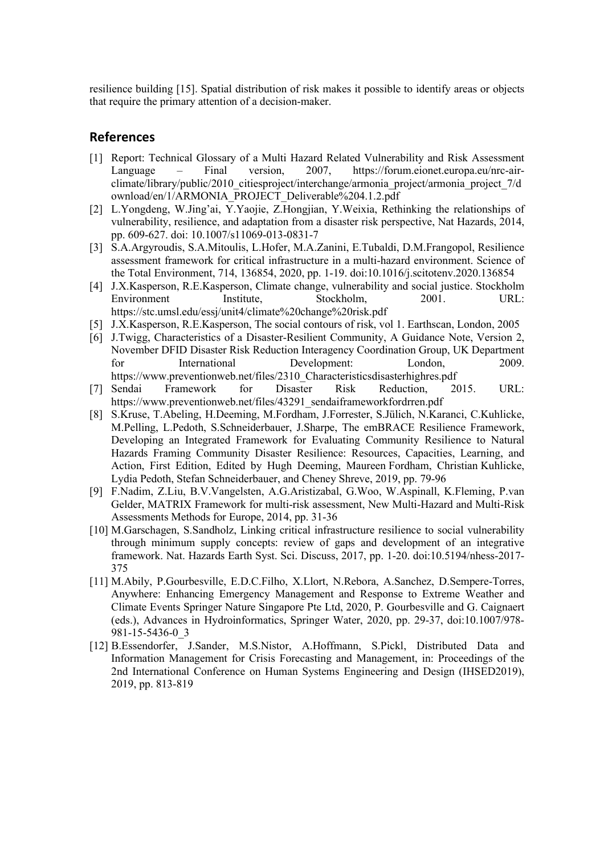resilience building [15]. Spatial distribution of risk makes it possible to identify areas or objects that require the primary attention of a decision-maker.

## **References**

- [1] Report: Technical Glossary of a Multi Hazard Related Vulnerability and Risk Assessment Language – Final version, 2007, [https://forum.eionet.europa.eu/nrc-air](https://forum.eionet.europa.eu/nrc-air-climate/library/public/2010_citiesproject/interchange/armonia_project/armonia_project_7/download/en/1/ARMONIA_PROJECT_Deliverable%204.1.2.pdf)[climate/library/public/2010\\_citiesproject/interchange/armonia\\_project/armonia\\_project\\_7/d](https://forum.eionet.europa.eu/nrc-air-climate/library/public/2010_citiesproject/interchange/armonia_project/armonia_project_7/download/en/1/ARMONIA_PROJECT_Deliverable%204.1.2.pdf) [ownload/en/1/ARMONIA\\_PROJECT\\_Deliverable%204.1.2.pdf](https://forum.eionet.europa.eu/nrc-air-climate/library/public/2010_citiesproject/interchange/armonia_project/armonia_project_7/download/en/1/ARMONIA_PROJECT_Deliverable%204.1.2.pdf)
- [2] L.Yongdeng, W.Jing'ai, Y.Yaojie, Z.Hongjian, Y.Weixia, Rethinking the relationships of vulnerability, resilience, and adaptation from a disaster risk perspective, Nat Hazards, 2014, pp. 609-627. doi: 10.1007/s11069-013-0831-7
- [3] S.A.Argyroudis, S.A.Mitoulis, L.Hofer, M.A.Zanini, E.Tubaldi, D.M.Frangopol, Resilience assessment framework for critical infrastructure in a multi-hazard environment. Science of the Total Environment, 714, 136854, 2020, pp. 1-19[. doi:10.1016/j.scitotenv.2020.136854](https://doi.org/10.1016/j.scitotenv.2020.136854)
- [4] J.X.Kasperson, R.E.Kasperson, Climate change, vulnerability and social justice. Stockholm Environment Institute, Stockholm, 2001. URL: https://stc.umsl.edu/essj/unit4/climate%20change%20risk.pdf
- [5] J.X.Kasperson, R.E.Kasperson, The social contours of risk, vol 1. Earthscan, London, 2005
- [6] J.Twigg, Characteristics of a Disaster-Resilient Community, A Guidance Note, Version 2, November DFID Disaster Risk Reduction Interagency Coordination Group, UK Department for International Development: London, 2009. [https://www.preventionweb.net/files/2310\\_Characteristicsdisasterhighres.pdf](https://www.preventionweb.net/files/2310_Characteristicsdisasterhighres.pdf)
- [7] Sendai Framework for Disaster Risk Reduction, 2015. URL: [https://www.preventionweb.net/files/43291\\_sendaiframeworkfordrren.pdf](https://www.preventionweb.net/files/43291_sendaiframeworkfordrren.pdf)
- [8] S.Kruse, T.Abeling, H.Deeming, M.Fordham, J.Forrester, S.Jülich, N.Karanci, C.Kuhlicke, M.Pelling, L.Pedoth, S.Schneiderbauer, J.Sharpe, The emBRACE Resilience Framework, Developing an Integrated Framework for Evaluating Community Resilience to Natural Hazards Framing Community Disaster Resilience: Resources, Capacities, Learning, and Action, First Edition, Edited by Hugh Deeming, Maureen Fordham, Christian Kuhlicke, Lydia Pedoth, Stefan Schneiderbauer, and Cheney Shreve, 2019, pp. 79-96
- [9] F.Nadim, Z.Liu, B.V.Vangelsten, A.G.Aristizabal, G.Woo, W.Aspinall, K.Fleming, P.van Gelder, MATRIX Framework for multi-risk assessment, New Multi-Hazard and Multi-Risk Assessments Methods for Europe, 2014, pp. 31-36
- [10] M.Garschagen, S.Sandholz, Linking critical infrastructure resilience to social vulnerability through minimum supply concepts: review of gaps and development of an integrative framework. Nat. Hazards Earth Syst. Sci. Discuss, 2017, pp. 1-20. doi:10.5194/nhess-2017- 375
- [11] M.Abily, P.Gourbesville, E.D.C.Filho, X.Llort, N.Rebora, A.Sanchez, D.Sempere-Torres, Anywhere: Enhancing Emergency Management and Response to Extreme Weather and Climate Events Springer Nature Singapore Pte Ltd, 2020, P. Gourbesville and G. Caignaert (eds.), Advances in Hydroinformatics, Springer Water, 2020, pp. 29-37, doi:10.1007/978- 981-15-5436-0\_3
- [12] B[.Essendorfer, J](http://publica.fraunhofer.de/authors/Essendorfer,%20Barbara)[.Sander, M.S.N](http://publica.fraunhofer.de/authors/Sander,%20Jennifer)istor, A[.Hoffmann, S](http://publica.fraunhofer.de/authors/Hoffmann,%20Almuth)[.Pickl, D](http://publica.fraunhofer.de/authors/Pickl,%20Stefan)istributed Data and Information Management for Crisis Forecasting and Management, in: Proceedings of the 2nd International Conference on Human Systems Engineering and Design (IHSED2019), 2019, pp. 813-819